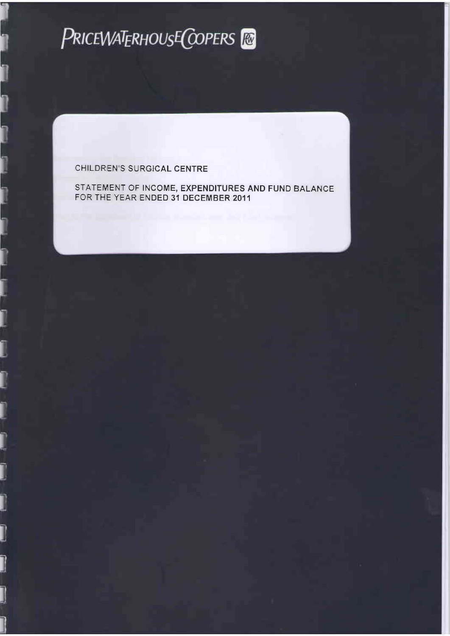

 $\mathbf{1}$ 

I

j

j

J

J

Ī

STATEMENT OF INCOME, EXPENDITURES AND FUND BALANCE FOR THE YEAR ENDED 31 DECEMBER 2011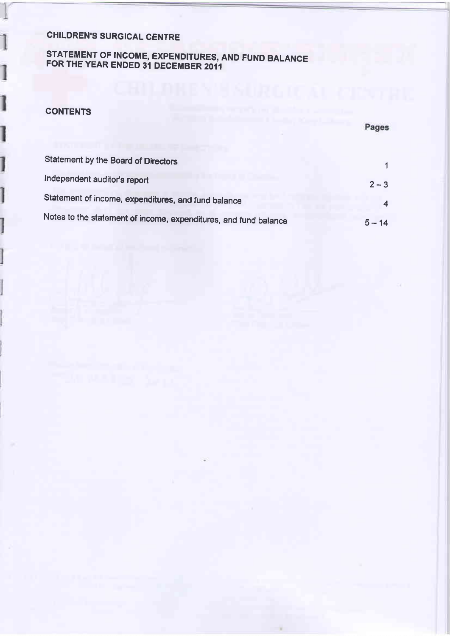# STATEMENT OF INCOME, EXPENDITURES, AND FUND BALANCE FOR THE YEAR ENDED 31 DECEMBER 2011

### **CONTENTS**

1

Ì

Ì

|                                                                  | Pages    |
|------------------------------------------------------------------|----------|
| Statement by the Board of Directors                              |          |
| Independent auditor's report                                     | $2 - 3$  |
| Statement of income, expenditures, and fund balance              |          |
| Notes to the statement of income, expenditures, and fund balance | $5 - 14$ |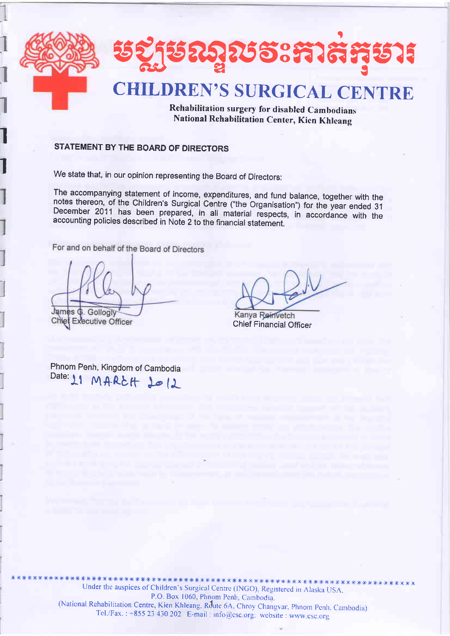

Rehabilitation surgery for disabled Cambodians National Rehabilitation Center, Kien Khleang

## STATEMENT BY THE BOARD OF DIRECTORS

We state that, in our opinion representing the Board of Directors:

The accompanying statement of income, expenditures, and fund balance, together with the notes thereon, of the Children's Surgical Centre ("the Organisation") for the year ended 31 December 2011 has been prepared, in all material respects, in accordance with the accounting policies described in Note 2 to the financial statement.

For and on behalf of the Board of Directors

James G. Gollogly

Chief Executive Officer

Kanya Reinvetch **Chief Financial Officer** 

Phnom Penh, Kingdom of Cambodia Date: 11 MARCH 1012

Under the auspices of Children's Surgical Centre (INGO), Registered in Alaska USA. P.O. Box 1060, Phnom Penh. Cambodia (National Rehabilitation Centre, Kien Khleang, Route 6A, Chroy Changvar, Phnom Penh, Cambodia) Tel./Fax.: +855 23 430 202 E-mail: info@csc.org; website: www.csc.org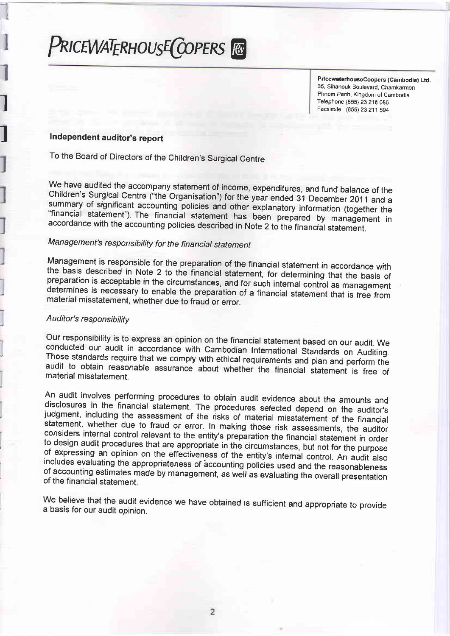# PRICEWATERHOUSE COPERS FO

PricewaterhouseCoopers (Cambodia) Ltd. 35, Sihanouk Boulevard, Chamkarmon Phnom Penh, Kingdom of Cambodia Telephone (855) 23 218 086 Facsimile (855) 23 211 594

### Independent auditor's report

To the Board of Directors of the Children's Surgical Centre

We have audited the accompany statement of income, expenditures, and fund balance of the Children's Surgical Centre ("the Organisation") for the year ended 31 December 2011 and a summary of significant accounting policies and other explanatory information (together the "financial statement"). The financial statement has been prepared by management in accordance with the accounting policies described in Note 2 to the financial statement.

## Management's responsibility for the financial statement

Management is responsible for the preparation of the financial statement in accordance with the basis described in Note 2 to the financial statement, for determining that the basis of preparation is acceptable in the circumstances, and for such internal control as management determines is necessary to enable the preparation of a financial statement that is free from material misstatement, whether due to fraud or error.

#### Auditor's responsibility

Our responsibility is to express an opinion on the financial statement based on our audit. We conducted our audit in accordance with Cambodian International Standards on Auditing. Those standards require that we comply with ethical requirements and plan and perform the audit to obtain reasonable assurance about whether the financial statement is free of material misstatement.

An audit involves performing procedures to obtain audit evidence about the amounts and disclosures in the financial statement. The procedures selected depend on the auditor's judgment, including the assessment of the risks of material misstatement of the financial statement, whether due to fraud or error. In making those risk assessments, the auditor considers internal control relevant to the entity's preparation the financial statement in order to design audit procedures that are appropriate in the circumstances, but not for the purpose of expressing an opinion on the effectiveness of the entity's internal control. An audit also includes evaluating the appropriateness of accounting policies used and the reasonableness of accounting estimates made by management, as well as evaluating the overall presentation of the financial statement.

We believe that the audit evidence we have obtained is sufficient and appropriate to provide a basis for our audit opinion.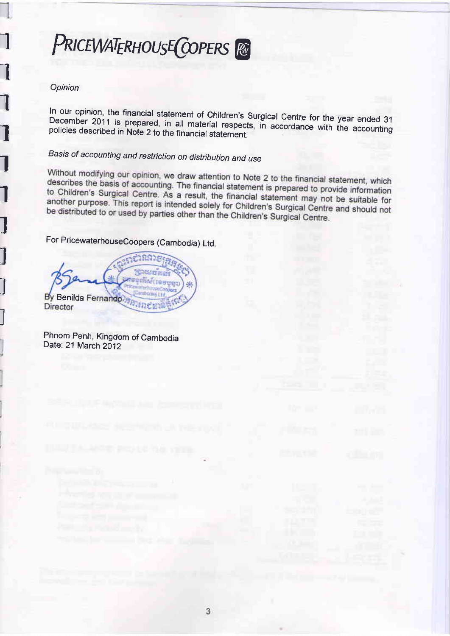# PRICEWATERHOUSE COPERS Re

#### Opinion

In our opinion, the financial statement of Children's Surgical Centre for the year ended 31 December 2011 is prepared, in all material respects, in accordance with the accounting policies described in Note 2 to the financial statement.

## Basis of accounting and restriction on distribution and use

Without modifying our opinion, we draw attention to Note 2 to the financial statement, which describes the basis of accounting. The financial statement is prepared to provide information to Children's Surgical Centre. As a result, the financial statement may not be suitable for another purpose. This report is intended solely for Children's Surgical Centre and should not be distributed to or used by parties other than the Children's Surgical Centre.

For PricewaterhouseCoopers (Cambodia) Ltd.

**SCHOOL AND** រង្វះពីវិស័យខេត្តប្រុក្ខប By Benilda Fernando Director

Phnom Penh, Kingdom of Cambodia Date: 21 March 2012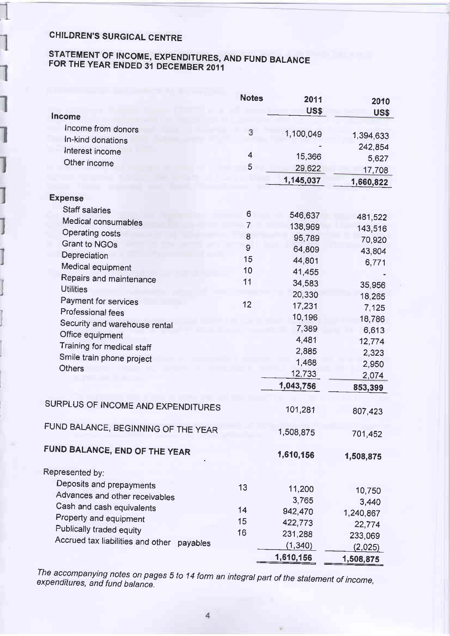I

I

I

1

I

# STATEMENT OF INCOME, EXPENDITURES, AND FUND BALANCE FOR THE YEAR ENDED 31 DECEMBER 2011

|                                               | <b>Notes</b>            | 2011<br>US\$ | 2010                |
|-----------------------------------------------|-------------------------|--------------|---------------------|
| Income                                        |                         |              | US\$                |
| Income from donors                            | 3                       | 1,100,049    |                     |
| In-kind donations                             |                         |              | 1,394,633           |
| Interest income                               | $\overline{\mathbf{4}}$ | 15,366       | 242,854             |
| Other income                                  | 5                       | 29,622       | 5,627               |
|                                               |                         | 1,145,037    | 17,708<br>1,660,822 |
| <b>Expense</b>                                |                         |              |                     |
| <b>Staff salaries</b>                         |                         |              |                     |
| Medical consumables                           | 6                       | 546,637      | 481,522             |
| <b>Operating costs</b>                        | 7                       | 138,969      | 143,516             |
| <b>Grant to NGOs</b>                          | 8                       | 95,789       | 70,920              |
| Depreciation                                  | 9                       | 64,809       | 43,804              |
|                                               | 15                      | 44,801       | 6,771               |
| Medical equipment                             | 10                      | 41,455       |                     |
| Repairs and maintenance<br><b>Utilities</b>   | 11                      | 34,583       | 35,956              |
|                                               |                         | 20,330       | 18,265              |
| Payment for services                          | 12                      | 17,231       | 7,125               |
| Professional fees                             |                         | 10,196       | 18,786              |
| Security and warehouse rental                 |                         | 7,389        | 6,613               |
| Office equipment                              |                         | 4,481        | 12,774              |
| Training for medical staff                    |                         | 2,885        | 2,323               |
| Smile train phone project                     |                         | 1,468        | 2,950               |
| <b>Others</b>                                 |                         | 12,733       | 2,074               |
|                                               |                         | 1,043,756    | 853,399             |
| SURPLUS OF INCOME AND EXPENDITURES            |                         | 101,281      | 807,423             |
| FUND BALANCE, BEGINNING OF THE YEAR           |                         | 1,508,875    | 701,452             |
| FUND BALANCE, END OF THE YEAR                 |                         | 1,610,156    | 1,508,875           |
| Represented by:                               |                         |              |                     |
| Deposits and prepayments                      | 13                      |              |                     |
| Advances and other receivables                |                         | 11,200       | 10,750              |
| Cash and cash equivalents                     | 14                      | 3,765        | 3,440               |
| Property and equipment                        | 15                      | 942,470      | 1,240,867           |
| Publically traded equity                      | 16                      | 422,773      | 22,774              |
| Accrued tax liabilities and other<br>payables |                         | 231,288      | 233,069             |
|                                               |                         | (1, 340)     | (2,025)             |
|                                               |                         | 1,610,156    | 1,508,875           |

The accompanying notes on pages 5 to 14 form an integral part of the statement of income,<br>expenditures, and fund balance.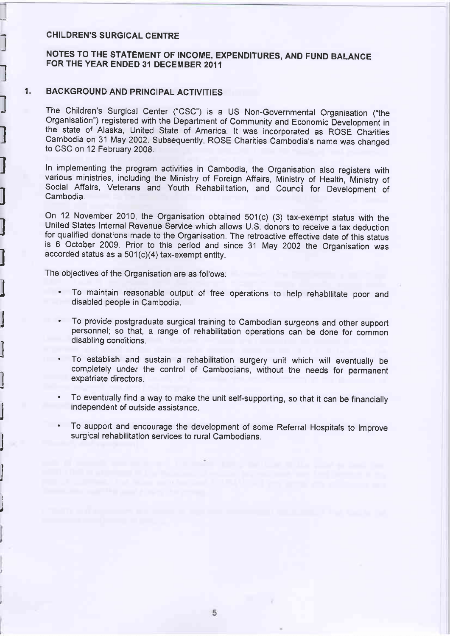l

 $\overline{\phantom{a}}$ 

l

l

I

I

1

I

J

l

l

I J

1 I

j

l

j

### NOTES TO THE STATEMENT OF |NCOME, EXPENDITURES, AND FUND BALANCE FOR THE YEAR ENDED 31 DECEMBER 2011

#### 1 . BACKGROUND AND PRINCIPAL ACTIVITIES

The Children's Surgical Center ("CSC") is a US Non-Governmental Organisation ("the organisation") registered with the Department of community and Economic bevelopment in the state of Alaska, United State of America. It was incorporated as ROSE Charities cambodia on 31 May 2002. subsequently, RosE charities cambodia's name was changed to CSC on 12 February 2008.

In implementing the program activities in Cambodia, the Organisation also registers with various ministries, including the Ministry of Foreign Affairs, Ministry of Health, Ministry of Social Affairs, Veterans and Youth Rehabilitation, and Council for Development of Cambodia.

on 12 November 2010, the organisation obtained 501(c) (3) tax-exempt status with the United States Internal Revenue Service which allows U.S. donors to receive a tax deduction for qualified donations made to the Organisation. The retroactive effective date of this status is 6 October 2009. Prior to this period and since 31 May 2002 the Organisation was accorded status as a 501 (c)(a) tax-exempt entity.

The objectives of the Organisation are as follows:

- To maintain reasonable output of free operations to help rehabilitate poor and disabled people in Cambodia.
- To provide postgraduate surgical training to Cambodian surgeons and other support personnel; so that, a range of rehabilitation operations can be done for common disabling conditions.
- . To establish and sustain a rehabilitation surgery unit which will eventually be completely under the control of Cambodians, without the needs for permanent expatriate directors.
- To eventually find a way to make the unit self-supporting, so that it can be financially independent of outside assistance.
- . To support and encourage the development of some Referral Hospitals to improve surgical rehabilitation services to rural Cambodians.

5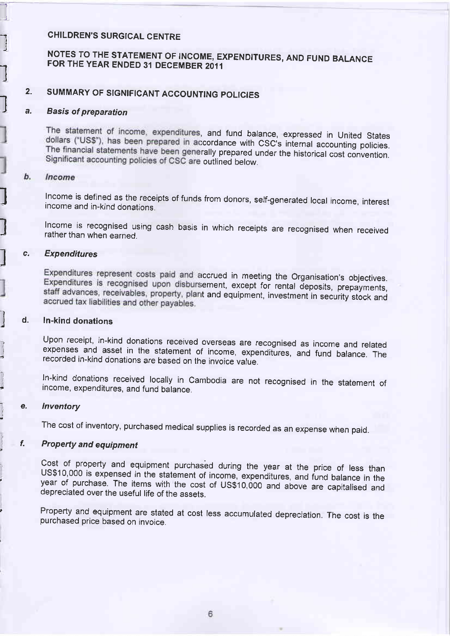# NOTES TO THE STATEMENT OF INCOME, EXPENDITURES, AND FUND BALANCE FOR THE YEAR ENDED 31 DECEMBER 2011

## 2. SUMMARY OF SIGNIFICANT ACCOUNTING POLICIES

### a. **Basis of preparation**

The statement of income, expenditures, and fund balance, expressed in United States dollars ("US\$"), has been prepared in accordance with CSC's internal accounting policies. The financial statements have been generally prepared under the historical cost convention. Significant accounting policies of CSC are outlined below.

#### b. Income

L

I

I J

I

-l I J

a

J

 $\overline{t}$ 

 $\frac{1}{2}$ 

 $\mathbf{1}$ 

-,

Income is defined as the receipts of funds from donors, self-generated local income, interest income and in-kind donations.

I lncome is recognised using cash basis in which receipts are recognised when received rather than when earned.

#### c. Expenditures

Expenditures represent costs paid and accrued in meeting the Organisation's objectives. Expenditures is recognised upon disbursement, except for rental deposits, prepayments, staff advances, receivables, property, plant and equipment, investment in security stock and accrued tax liabilities and other payables.

## d. In-kind donations

Upon receipt, in-kind donations received overseas are recognised as income and related expenses and asset in the statement of income, expenditures, and fund balance. The recorded in-kind donations are based on the invoice value.

In-kind donations received locally in Cambodia are not recognised in the statement of income, expenditures, and fund balance.

#### e. lnventory

The cost of inventory, purchased medical supplies is recorded as an expense when paid.

## f. Property and equipment

Cost of property and equipment purchased during the year at the price of less than<br>US\$10,000 is expensed in the statement of income, expenditures, and fund balance in the year of purchase. The items with the cost of US\$10,000 and above are capitalised and depreciated over the useful life of the assets.

Property and equipment are stated at cost less accumulated depreciation. The cost is the purchased price based on invoice.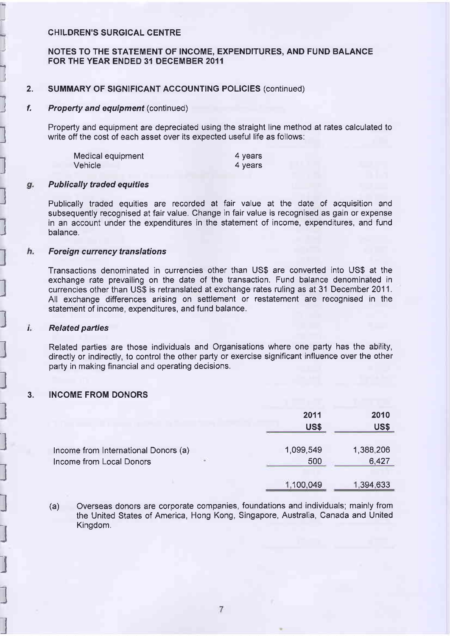#### NOTES TO THE STATEMENT OF INCOME. EXPENDITURES. AND FUND BALANCE FOR THE YEAR ENDED 31 DECEMBER 2011

#### 2. SUMMARY OF SIGNIFICANT ACCOUNTING POLICIES (continued)

#### f. **Property and equipment (continued)**

Property and equipment are depreciated using the straight line method at rates calculated to write off the cost of each asset over its expected useful life as follows:

| Medical equipment | 4 years |
|-------------------|---------|
| Vehicle           | 4 years |

#### Publically traded equities g.

l

l

''l I J

l

l

l

l

 $\mathbf{l}$ 

l

)

l

l

l

l

l

l

l

l

l

Publically traded equities are recorded at fair value at the date of acquisition and subsequently recognised at fair value. Change in fair value is recognised as gain or expense in an account under the expenditures in the statement of income, expenditures, and fund balance.

#### h. **Foreign currency translations**

Transactions denominated in currencies other than US\$ are converted into US\$ at the exchange rate prevailing on the date of the transaction. Fund balance denominated in currencies other than US\$ is retranslated at exchange rates ruling as at 31 Decembet 2011. All exchange differences arising on settlement or restatement are recognised in the statement of income, expenditures, and fund balance.

#### I Related parties

Related parties are those individuals and Organisations where one party has the ability, directly or indirectly, to control the other party or exercise significant influence over the other party in making financial and operating decisions.

#### 3. INCOME FROM DONORS

|                                                                        | 2011<br><b>US\$</b> | 2010<br>US\$       |
|------------------------------------------------------------------------|---------------------|--------------------|
| Income from International Donors (a)<br>a.<br>Income from Local Donors | 1,099,549<br>500    | 1,388,206<br>6,427 |
|                                                                        | 1,100,049           | 1,394,633          |

<sup>(</sup>a) Overseas donors are corporate companies, foundations and individuals; mainly from the United States of America, Hong Kong, Singapore, Australia, Canada and United Kingdom.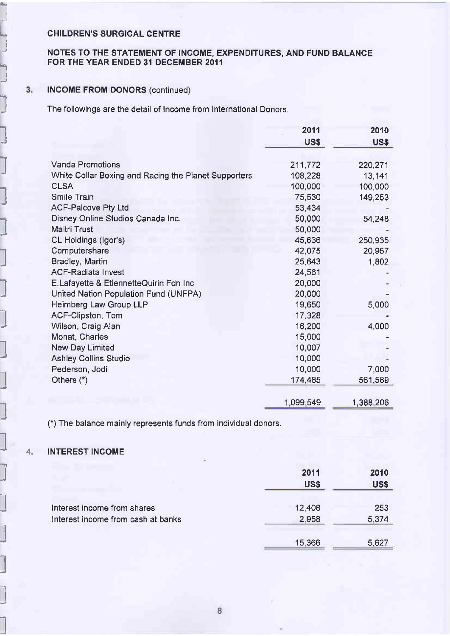$\sqrt{ }$ 

J

l<sup>1</sup>

l

l

l

l

J

l

l

l

l

l

I J -1 J

l

l

l

l

#### NOTES TO THE STATEMENT OF INCOME, EXPENDITURES, AND FUND BALANCE FOR THE YEAR ENDED 3I DECEMBER 2OII

#### INCOME FROM DONORS (continued)

**3.** INCOME FROM DONORS (continued)<br>The followings are the detail of Income from International Donors.

|                                                      | 2011        | 2010      |
|------------------------------------------------------|-------------|-----------|
|                                                      | <b>US\$</b> | US\$      |
|                                                      |             |           |
| <b>Vanda Promotions</b>                              | 211,772     | 220,271   |
| White Collar Boxing and Racing the Planet Supporters | 108,228     | 13,141    |
| <b>CLSA</b>                                          | 100,000     | 100,000   |
| <b>Smile Train</b>                                   | 75,530      | 149,253   |
| <b>ACF-Palcove Pty Ltd</b>                           | 53,434      |           |
| Disney Online Studios Canada Inc.                    | 50,000      | 54,248    |
| <b>Maitri Trust</b>                                  | 50,000      |           |
| CL Holdings (Igor's)                                 | 45,636      | 250,935   |
| Computershare                                        | 42,075      | 20,967    |
| Bradley, Martin                                      | 25,643      | 1,802     |
| <b>ACF-Radiata Invest</b>                            | 24,561      |           |
| E.Lafayette & EtiennetteQuirin Fdn Inc               | 20,000      |           |
| United Nation Population Fund (UNFPA)                | 20,000      |           |
| Heimberg Law Group LLP                               | 19,650      | 5,000     |
| <b>ACF-Clipston, Tom</b>                             | 17,328      |           |
| Wilson, Craig Alan                                   | 16,200      | 4,000     |
| Monat, Charles                                       | 15,000      |           |
| <b>New Day Limited</b>                               | 10,007      |           |
| <b>Ashley Collins Studio</b>                         | 10,000      |           |
| Pederson, Jodi                                       | 10,000      | 7,000     |
| Others $(*)$                                         | 174,485     | 561,589   |
|                                                      |             |           |
|                                                      | 1,099.549   | 1,388,206 |

(\*) The balance mainly represents funds from individual donors.

## I-a 4. INTEREST INGOME

|                                                                   | 2011<br><b>US\$</b> | 2010<br><b>US\$</b> |
|-------------------------------------------------------------------|---------------------|---------------------|
| Interest income from shares<br>Interest income from cash at banks | 12,408<br>2,958     | 253<br>5,374        |
|                                                                   | 15,366              | 5.627               |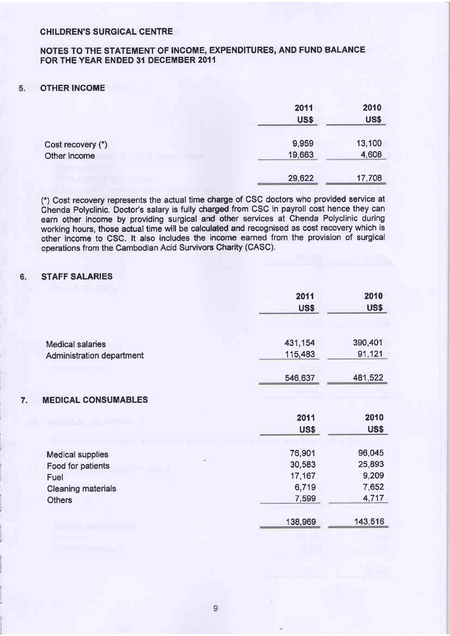#### NOTES TO THE STATEMENT OF INCOME, EXPENDITURES, AND FUND BALANCE FOR THE YEAR ENDED 31 DECEMBER 2011

#### 5. OTHER INCOME

|                   | 2011<br><b>US\$</b> | 2010<br><b>US\$</b> |
|-------------------|---------------------|---------------------|
| Cost recovery (*) | 9,959               | 13,100              |
| Other income      | 19,663              | 4,608               |
|                   | 29,622              | 17,708              |

(\*) Cost recovery represents the actual time charge of CSC doctors who provided service at Chenda Polyclinic. Doctor's salary is fully charged from CSC in payroll cost hence they can earn other income by providing surgical and other services at Chenda Polyclinic during working hours, those actual time will be calculated and recognised as cost recovery which is other income to CSC. lt also includes the income earned from the provision of surgical operations from the Cambodian Acid Survivors Charity (CASC).

#### STAFF SALARIES 6.

|                                                      | 2011<br>US\$       | 2010<br>US\$      |
|------------------------------------------------------|--------------------|-------------------|
| <b>Medical salaries</b><br>Administration department | 431,154<br>115,483 | 390,401<br>91,121 |
|                                                      | 546,637            | 481,522           |
| <b>MEDICAL CONSUMABLES</b><br>7.                     |                    |                   |
|                                                      | 2011               | 2010              |
|                                                      | <b>US\$</b>        | US\$              |
| <b>Medical supplies</b>                              | 76,901             | 96,045            |
| Food for patients                                    | 30,583             | 25,893            |
| Fuel                                                 | 17,167             | 9,209             |
| <b>Cleaning materials</b>                            | 6,719              | 7,652             |
| <b>Others</b>                                        | 7,599              | 4,717             |
|                                                      | 138,969            | 143,516           |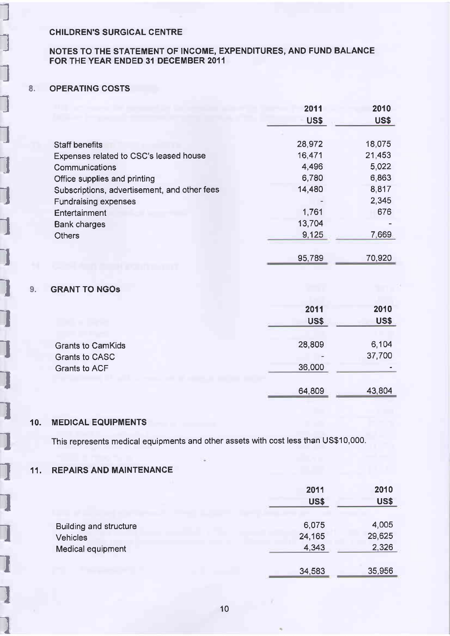## NOTES TO THE STATEMENT OF INCOME, EXPENDITURES, AND FUND BALANCE FOR THE YEAR ENDED 31 DECEMBER 2011

#### 8. OPERATING COSTS

I

I

I

I

I

I

I

I

I

I

I

I

I

I

I

I

I

1

I

I

|                                              | 2011   | 2010        |
|----------------------------------------------|--------|-------------|
|                                              | US\$   | <b>US\$</b> |
|                                              |        |             |
| <b>Staff benefits</b>                        | 28,972 | 18,075      |
| Expenses related to CSC's leased house       | 16,471 | 21,453      |
| Communications                               | 4,496  | 5,022       |
| Office supplies and printing                 | 6,780  | 6,863       |
| Subscriptions, advertisement, and other fees | 14,480 | 8,817       |
| <b>Fundraising expenses</b>                  |        | 2,345       |
| Entertainment                                | 1,761  | 676         |
| <b>Bank charges</b>                          | 13,704 |             |
| <b>Others</b>                                | 9,125  | 7,669       |
|                                              | 95,789 | 70,920      |
|                                              |        |             |

#### ls. GRANT TO NGOS

|                                                                    | 2011<br>US\$     | 2010<br>US\$    |
|--------------------------------------------------------------------|------------------|-----------------|
| <b>Grants to CamKids</b><br>Grants to CASC<br><b>Grants to ACF</b> | 28,809<br>36,000 | 6,104<br>37,700 |
|                                                                    | 64,809           | 43,804          |

#### 10. MEDICAL EQUIPMENTS

This represents medical equipments and other assets with cost less than US\$10,000.

#### 11. REPAIRS AND MAINTENANCE

|                                      | 2011<br><b>US\$</b> | 2010<br><b>US\$</b> |
|--------------------------------------|---------------------|---------------------|
| Building and structure               | 6,075               | 4,005               |
| <b>Vehicles</b><br>Medical equipment | 24,165<br>4,343     | 29,625<br>2,326     |
|                                      | 34,583              | 35,956              |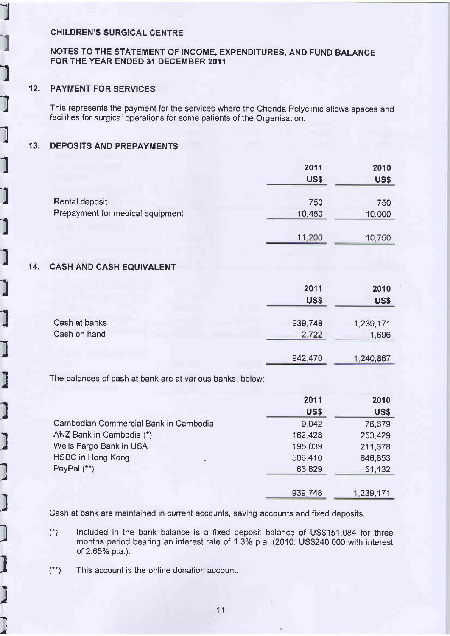#### NOTES TO THE STATEMENT OF INCOME, EXPENDITURES, AND FUND BALANCE FOR THE YEAR ENDED 31 DECEMBER 2011

### 12. PAYMENT FOR SERVICES

I

l

I

I

I

I

I

l

l

.l

l

 $\ddot{\phantom{0}}$ 

)

l

I

I ./

l

l

I

l

I I .a This represents the payment for the services where the Chenda Polyclinic allows spaces and facilities for surgical operations for some patients of the Organisation.

### 13. DEPOSITS AND PREPAYMENTS

|                                  | 2011   | 2010        |
|----------------------------------|--------|-------------|
|                                  | US\$   | <b>US\$</b> |
| Rental deposit                   | 750    | 750         |
| Prepayment for medical equipment | 10,450 | 10,000      |
|                                  | 11,200 | 10,750      |

#### 14. CASH AND CASH EOUIVALENT

|               | 2011<br><b>US\$</b> | 2010<br><b>US\$</b> |
|---------------|---------------------|---------------------|
| Cash at banks | 939,748             | 1,239,171           |
| Cash on hand  | 2,722               | 1,696               |

942.470 240.867

The balances of cash at bank are at various banks, below:

|                                       | 2011        | 2010        |
|---------------------------------------|-------------|-------------|
|                                       | <b>US\$</b> | <b>US\$</b> |
| Cambodian Commercial Bank in Cambodia | 9,042       | 76,379      |
| ANZ Bank in Cambodia (*)              | 162,428     | 253,429     |
| Wells Fargo Bank in USA               | 195,039     | 211,378     |
| <b>HSBC in Hong Kong</b><br><b>A</b>  | 506,410     | 646,853     |
| PayPal (**)                           | 66,829      | 51,132      |
|                                       | 939,748     | 1,239,171   |

Cash at bank are maintained in current accounts, saving accounts and fixed deposits.

- $(*)$  Included in the bank balance is a fixed deposit balance of US\$151,084 for three months period bearing an interest rate of 1.3% p.a. (2010: US\$240,000 with interest of 2.65% p.a.).
- $(**)$  This account is the online donation account.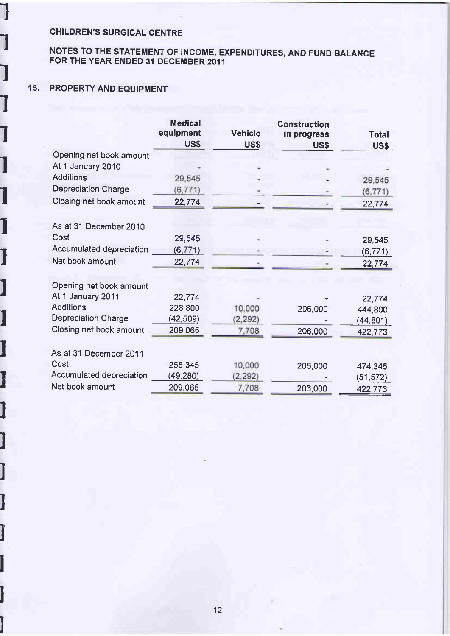#### NOTES TO THE STATEMENT OF INCOME, EXPENDITURES, AND FUND BALANCE FOR THE YEAR ENDED 3I DECEMBER 2011

### 15. PROPERTY AND EQUIPMENT

I

I

I

I

I

I

I

I

I

I

I

I

I

I

I

I

I

I

I

I

I

|                            | <b>Medical</b><br>equipment<br>US\$ | <b>Vehicle</b><br>US\$ | <b>Construction</b><br>in progress<br>US\$ | <b>Total</b><br><b>US\$</b> |
|----------------------------|-------------------------------------|------------------------|--------------------------------------------|-----------------------------|
| Opening net book amount    |                                     |                        |                                            |                             |
| At 1 January 2010          |                                     |                        |                                            |                             |
| <b>Additions</b>           | 29,545                              |                        |                                            | 29,545                      |
| Depreciation Charge        | (6, 771)                            |                        |                                            | (6, 771)                    |
| Closing net book amount    | 22,774                              |                        |                                            | 22,774                      |
| As at 31 December 2010     |                                     |                        |                                            |                             |
| Cost                       | 29,545                              |                        |                                            | 29,545                      |
| Accumulated depreciation   | (6, 771)                            |                        |                                            | (6, 771)                    |
| Net book amount            | 22,774                              |                        |                                            | 22,774                      |
| Opening net book amount    |                                     |                        |                                            |                             |
| At 1 January 2011          | 22,774                              |                        |                                            | 22,774                      |
| <b>Additions</b>           | 228,800                             | 10,000                 | 206,000                                    | 444,800                     |
| <b>Depreciation Charge</b> | (42,509)                            | (2, 292)               |                                            | (44, 801)                   |
| Closing net book amount    | 209,065                             | 7,708                  | 206,000                                    | 422,773                     |
| As at 31 December 2011     |                                     |                        |                                            |                             |
| Cost                       | 258,345                             | 10,000                 | 206,000                                    | 474,345                     |
| Accumulated depreciation   | (49,280)                            | (2, 292)               |                                            | (51, 572)                   |
| Net book amount            | 209,065                             | 7,708                  | 206,000                                    | 422,773                     |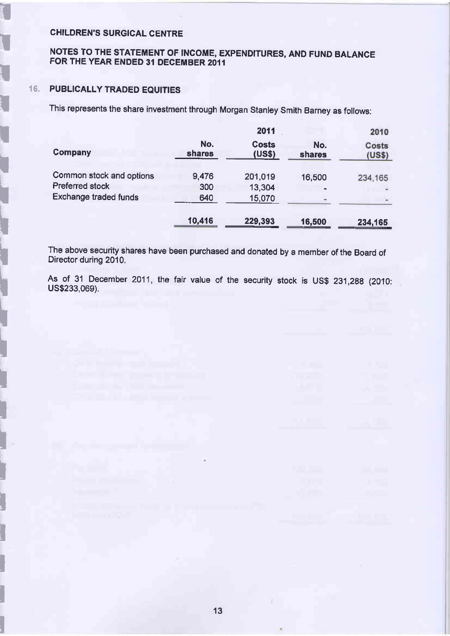# NOTES TO THE STATEMENT OF INCOME, EXPENDITURES, AND FUND BALANCE FOR THE YEAR ENDED 31 DECEMBER 20{I

#### 16. PUBLICALLY TRADED EQUITIES

I

**I** 

I

I

I

i<br>III<br>I

t

i

I

I

I

I

I<br>I

i<br>Li

I

I

I

I

I

I

I

I

I

This represents the share investment through Morgan stanley smith Barney as follows:

|                                                                             |               | 2011                   |               | 2010            |
|-----------------------------------------------------------------------------|---------------|------------------------|---------------|-----------------|
| <b>Company</b>                                                              | No.<br>shares | <b>Costs</b><br>(US\$) | No.<br>shares | Costs<br>(US\$) |
| Common stock and options<br>Preferred stock<br><b>Exchange traded funds</b> | 9,476<br>300  | 201,019<br>13,304      | 16,500        | 234,165         |
|                                                                             | 640<br>10,416 | 15,070<br>229,393      | 16,500        | 234,165         |

The above security shares have been purchased and donated by a member of the Board of Director during 2010.

As of 31 December 2011, the fair value of the security stock is US\$ 231,288 (2010: US\$233,069).